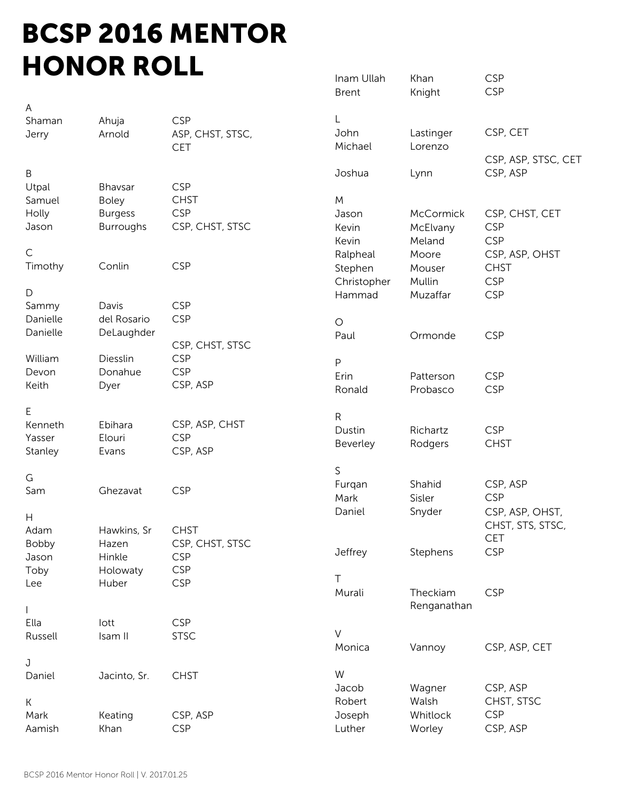## BCSP 2016 MENTOR HONOR ROLL **Inam Ullah** Khan CSP

|             |                |                  | <b>Brent</b> | Knight           | <b>CSP</b>          |
|-------------|----------------|------------------|--------------|------------------|---------------------|
| Α           |                |                  |              |                  |                     |
| Shaman      | Ahuja          | <b>CSP</b>       |              |                  |                     |
| Jerry       | Arnold         | ASP, CHST, STSC, | John         | Lastinger        | CSP, CET            |
|             |                | <b>CET</b>       | Michael      | Lorenzo          |                     |
|             |                |                  |              |                  | CSP, ASP, STSC, CET |
| B           |                |                  | Joshua       | Lynn             | CSP, ASP            |
| Utpal       | Bhavsar        | <b>CSP</b>       |              |                  |                     |
| Samuel      | <b>Boley</b>   | <b>CHST</b>      | M            |                  |                     |
| Holly       | <b>Burgess</b> | <b>CSP</b>       | Jason        | <b>McCormick</b> | CSP, CHST, CET      |
| Jason       | Burroughs      | CSP, CHST, STSC  | Kevin        | McElvany         | <b>CSP</b>          |
|             |                |                  | Kevin        | Meland           | <b>CSP</b>          |
| $\mathsf C$ |                |                  | Ralpheal     | Moore            | CSP, ASP, OHST      |
| Timothy     | Conlin         | <b>CSP</b>       | Stephen      | Mouser           | <b>CHST</b>         |
|             |                |                  |              | Mullin           | <b>CSP</b>          |
| D           |                |                  | Christopher  |                  |                     |
| Sammy       | Davis          | <b>CSP</b>       | Hammad       | Muzaffar         | <b>CSP</b>          |
| Danielle    | del Rosario    | <b>CSP</b>       |              |                  |                     |
|             |                |                  | $\bigcirc$   |                  |                     |
| Danielle    | DeLaughder     |                  | Paul         | Ormonde          | <b>CSP</b>          |
|             |                | CSP, CHST, STSC  |              |                  |                     |
| William     | Diesslin       | <b>CSP</b>       | P            |                  |                     |
| Devon       | Donahue        | <b>CSP</b>       | Erin         | Patterson        | <b>CSP</b>          |
| Keith       | Dyer           | CSP, ASP         | Ronald       | Probasco         | <b>CSP</b>          |
|             |                |                  |              |                  |                     |
| Ε           |                |                  | ${\sf R}$    |                  |                     |
| Kenneth     | Ebihara        | CSP, ASP, CHST   | Dustin       | Richartz         | <b>CSP</b>          |
| Yasser      | Elouri         | <b>CSP</b>       | Beverley     | Rodgers          | <b>CHST</b>         |
| Stanley     | Evans          | CSP, ASP         |              |                  |                     |
|             |                |                  | $\mathsf S$  |                  |                     |
| G           |                |                  | Furqan       | Shahid           | CSP, ASP            |
| Sam         | Ghezavat       | <b>CSP</b>       | Mark         | Sisler           | <b>CSP</b>          |
|             |                |                  | Daniel       | Snyder           | CSP, ASP, OHST,     |
| Н           |                |                  |              |                  | CHST, STS, STSC,    |
| Adam        | Hawkins, Sr    | <b>CHST</b>      |              |                  | <b>CET</b>          |
| Bobby       | Hazen          | CSP, CHST, STSC  |              |                  | <b>CSP</b>          |
| Jason       | Hinkle         | <b>CSP</b>       | Jeffrey      | Stephens         |                     |
| Toby        | Holowaty       | <b>CSP</b>       |              |                  |                     |
| Lee         | Huber          | <b>CSP</b>       | T            |                  |                     |
|             |                |                  | Murali       | Theckiam         | <b>CSP</b>          |
|             |                |                  |              | Renganathan      |                     |
| Ella        | lott           | <b>CSP</b>       |              |                  |                     |
| Russell     | Isam II        | <b>STSC</b>      | $\vee$       |                  |                     |
|             |                |                  | Monica       | Vannoy           | CSP, ASP, CET       |
| J           |                |                  |              |                  |                     |
| Daniel      | Jacinto, Sr.   | <b>CHST</b>      | W            |                  |                     |
|             |                |                  | Jacob        | Wagner           | CSP, ASP            |
| К           |                |                  | Robert       | Walsh            | CHST, STSC          |
| Mark        | Keating        | CSP, ASP         | Joseph       | Whitlock         | <b>CSP</b>          |
| Aamish      | Khan           | <b>CSP</b>       | Luther       | Worley           | CSP, ASP            |
|             |                |                  |              |                  |                     |